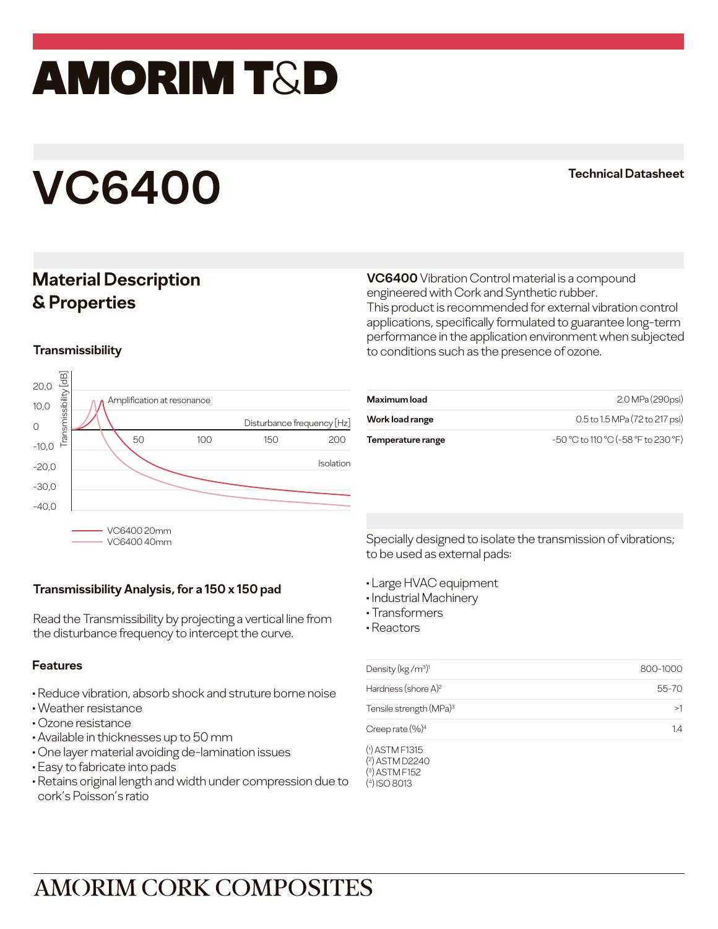## amorim T&D

# **VC6400 Technical Datasheet**

### **Material Description & Properties**

**VC6400** Vibration Control material is a compound engineered with Cork and Synthetic rubber. This product is recommended for external vibration control applications, specifically formulated to guarantee long-term performance in the application environment when subjected to conditions such as the presence of ozone.

### **Transmissibility**



| <b>Maximum load</b> | 2.0 MPa (290psi)                    |
|---------------------|-------------------------------------|
| Work load range     | 0.5 to 1.5 MPa (72 to 217 psi)      |
| Temperature range   | -50 °C to 110 °C (-58 °F to 230 °F) |

### **Transmissibility Analysis, for a 150 x 150 pad**

Read the Transmissibility by projecting a vertical line from the disturbance frequency to intercept the curve.

#### **Features**

- Reduce vibration, absorb shock and struture borne noise
- Weather resistance
- Ozone resistance
- Available in thicknesses up to 50 mm
- One layer material avoiding de-lamination issues
- Easy to fabricate into pads
- Retains original length and width under compression due to cork's Poisson's ratio

Specially designed to isolate the transmission of vibrations; to be used as external pads:

- Large HVAC equipment
- Industrial Machinery
- Transformers
- Reactors

| Density ( $kg/m^3$ ) <sup>1</sup>   | 800-1000 |
|-------------------------------------|----------|
| Hardness (shore $A$ ) <sup>2</sup>  | 55-70    |
| Tensile strength (MPa) <sup>3</sup> | >1       |
| Creep rate $(%)^4$                  | 14       |
| $(1)$ ASTM F1315                    |          |

( 2 ) ASTM D2240 ( 3 ) ASTM F152 ( 4) ISO 8013

### **AMORIM CORK COMPOSITES**